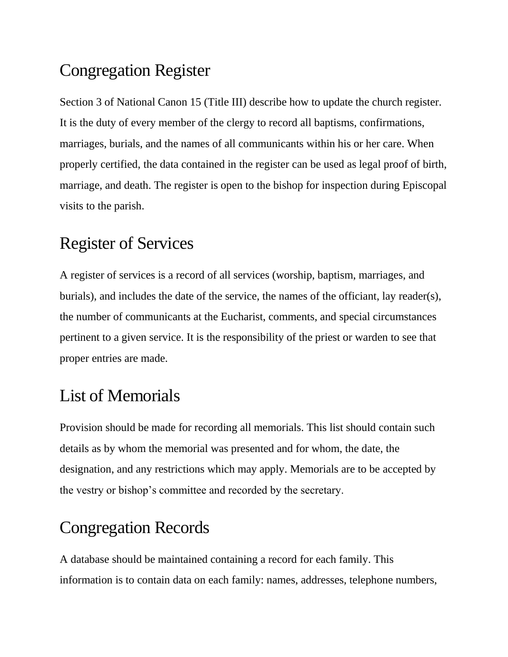# Congregation Register

Section 3 of National Canon 15 (Title III) describe how to update the church register. It is the duty of every member of the clergy to record all baptisms, confirmations, marriages, burials, and the names of all communicants within his or her care. When properly certified, the data contained in the register can be used as legal proof of birth, marriage, and death. The register is open to the bishop for inspection during Episcopal visits to the parish.

## Register of Services

A register of services is a record of all services (worship, baptism, marriages, and burials), and includes the date of the service, the names of the officiant, lay reader(s), the number of communicants at the Eucharist, comments, and special circumstances pertinent to a given service. It is the responsibility of the priest or warden to see that proper entries are made.

### List of Memorials

Provision should be made for recording all memorials. This list should contain such details as by whom the memorial was presented and for whom, the date, the designation, and any restrictions which may apply. Memorials are to be accepted by the vestry or bishop's committee and recorded by the secretary.

### Congregation Records

A database should be maintained containing a record for each family. This information is to contain data on each family: names, addresses, telephone numbers,